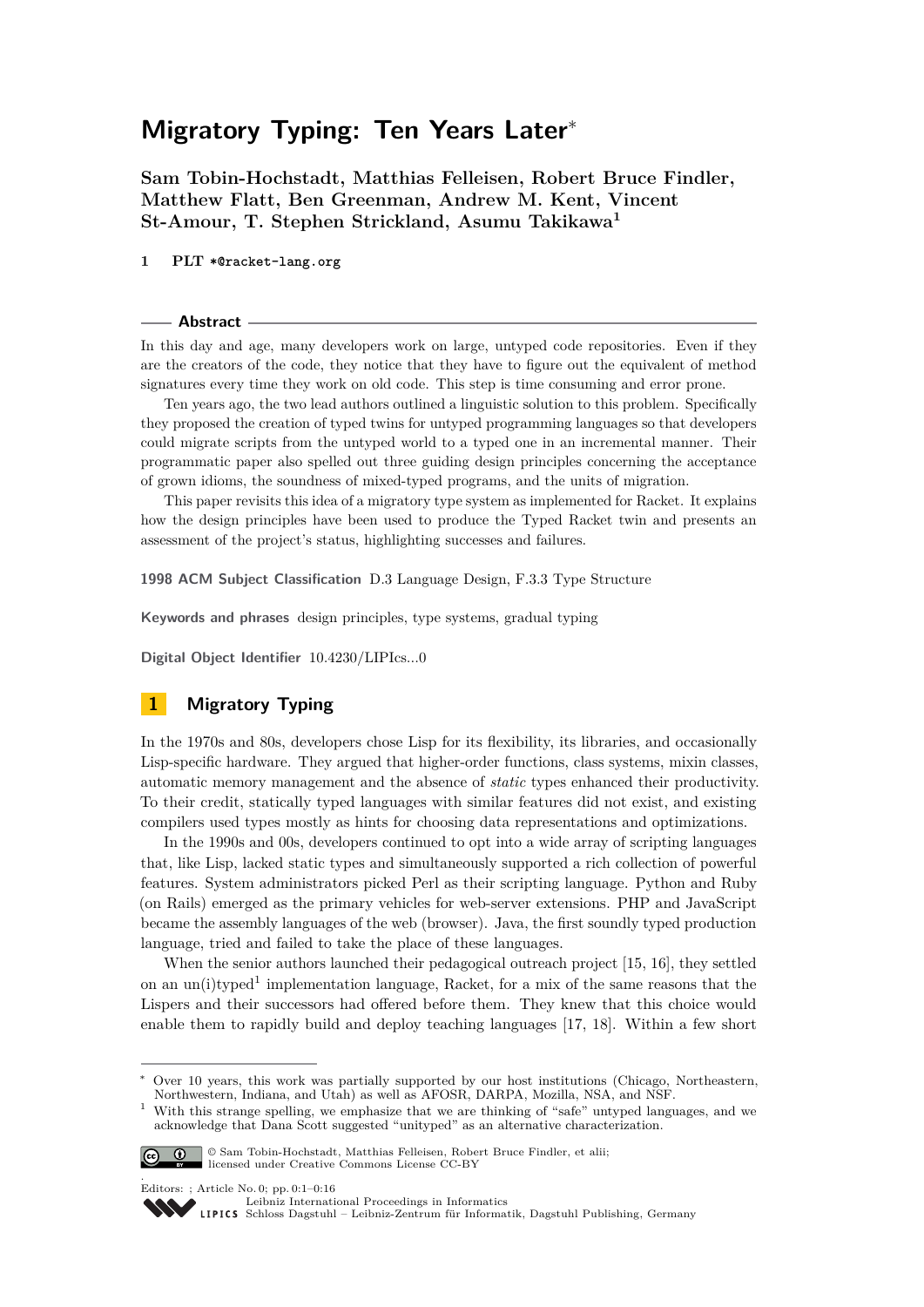# **Migratory Typing: Ten Years Later**<sup>∗</sup>

**Sam Tobin-Hochstadt, Matthias Felleisen, Robert Bruce Findler, Matthew Flatt, Ben Greenman, Andrew M. Kent, Vincent St-Amour, T. Stephen Strickland, Asumu Takikawa<sup>1</sup>**

**1 PLT \*@racket-lang.org**

#### **Abstract**

In this day and age, many developers work on large, untyped code repositories. Even if they are the creators of the code, they notice that they have to figure out the equivalent of method signatures every time they work on old code. This step is time consuming and error prone.

Ten years ago, the two lead authors outlined a linguistic solution to this problem. Specifically they proposed the creation of typed twins for untyped programming languages so that developers could migrate scripts from the untyped world to a typed one in an incremental manner. Their programmatic paper also spelled out three guiding design principles concerning the acceptance of grown idioms, the soundness of mixed-typed programs, and the units of migration.

This paper revisits this idea of a migratory type system as implemented for Racket. It explains how the design principles have been used to produce the Typed Racket twin and presents an assessment of the project's status, highlighting successes and failures.

**1998 ACM Subject Classification** D.3 Language Design, F.3.3 Type Structure

**Keywords and phrases** design principles, type systems, gradual typing

**Digital Object Identifier** [10.4230/LIPIcs...0](http://dx.doi.org/10.4230/LIPIcs.\relax .\relax .0)

## <span id="page-0-1"></span>**1 Migratory Typing**

In the 1970s and 80s, developers chose Lisp for its flexibility, its libraries, and occasionally Lisp-specific hardware. They argued that higher-order functions, class systems, mixin classes, automatic memory management and the absence of *static* types enhanced their productivity. To their credit, statically typed languages with similar features did not exist, and existing compilers used types mostly as hints for choosing data representations and optimizations.

In the 1990s and 00s, developers continued to opt into a wide array of scripting languages that, like Lisp, lacked static types and simultaneously supported a rich collection of powerful features. System administrators picked Perl as their scripting language. Python and Ruby (on Rails) emerged as the primary vehicles for web-server extensions. PHP and JavaScript became the assembly languages of the web (browser). Java, the first soundly typed production language, tried and failed to take the place of these languages.

When the senior authors launched their pedagogical outreach project [\[15,](#page-13-0) [16\]](#page-13-1), they settled on an un(i)typed<sup>[1](#page-0-0)</sup> implementation language, Racket, for a mix of the same reasons that the Lispers and their successors had offered before them. They knew that this choice would enable them to rapidly build and deploy teaching languages [\[17,](#page-13-2) [18\]](#page-13-3). Within a few short

<span id="page-0-0"></span><sup>&</sup>lt;sup>1</sup> With this strange spelling, we emphasize that we are thinking of "safe" untyped languages, and we acknowledge that Dana Scott suggested "unityped" as an alternative characterization.



.

**C**  $\bullet$  Sam Tobin-Hochstadt, Matthias Felleisen, Robert Bruce Findler, et alii; licensed under Creative Commons License CC-BY

Editors: ; Article No. 0; pp. 0:1–0[:16](#page-15-0)

[Leibniz International Proceedings in Informatics](http://www.dagstuhl.de/lipics/)

[Schloss Dagstuhl – Leibniz-Zentrum für Informatik, Dagstuhl Publishing, Germany](http://www.dagstuhl.de)

Over 10 years, this work was partially supported by our host institutions (Chicago, Northeastern, Northwestern, Indiana, and Utah) as well as AFOSR, DARPA, Mozilla, NSA, and NSF.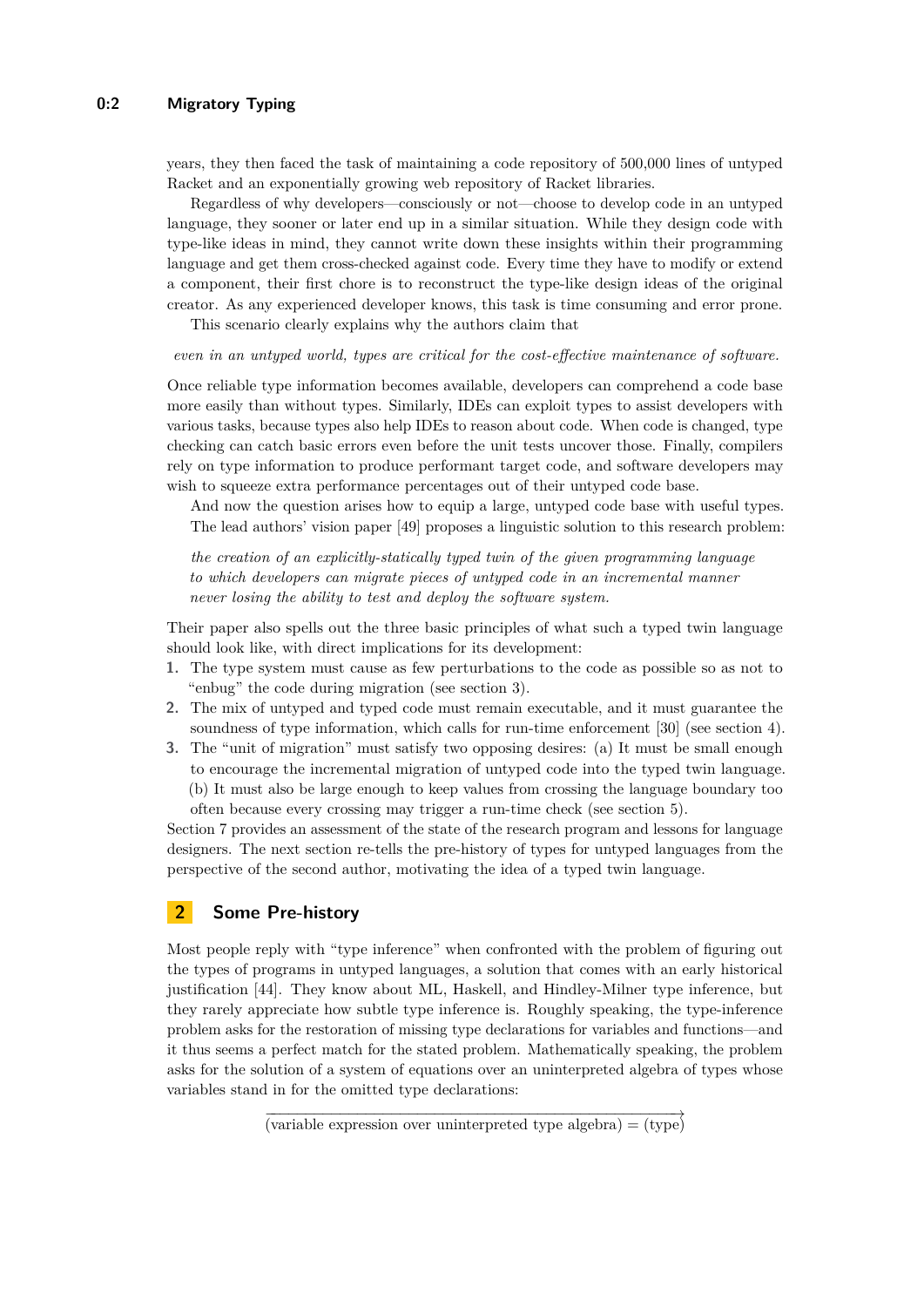years, they then faced the task of maintaining a code repository of 500,000 lines of untyped Racket and an exponentially growing web repository of Racket libraries.

Regardless of why developers—consciously or not—choose to develop code in an untyped language, they sooner or later end up in a similar situation. While they design code with type-like ideas in mind, they cannot write down these insights within their programming language and get them cross-checked against code. Every time they have to modify or extend a component, their first chore is to reconstruct the type-like design ideas of the original creator. As any experienced developer knows, this task is time consuming and error prone.

This scenario clearly explains why the authors claim that

#### *even in an untyped world, types are critical for the cost-effective maintenance of software.*

Once reliable type information becomes available, developers can comprehend a code base more easily than without types. Similarly, IDEs can exploit types to assist developers with various tasks, because types also help IDEs to reason about code. When code is changed, type checking can catch basic errors even before the unit tests uncover those. Finally, compilers rely on type information to produce performant target code, and software developers may wish to squeeze extra performance percentages out of their untyped code base.

And now the question arises how to equip a large, untyped code base with useful types. The lead authors' vision paper [\[49\]](#page-15-1) proposes a linguistic solution to this research problem:

*the creation of an explicitly-statically typed twin of the given programming language to which developers can migrate pieces of untyped code in an incremental manner never losing the ability to test and deploy the software system.*

Their paper also spells out the three basic principles of what such a typed twin language should look like, with direct implications for its development:

- **1.** The type system must cause as few perturbations to the code as possible so as not to "enbug" the code during migration (see section [3\)](#page-3-0).
- **2.** The mix of untyped and typed code must remain executable, and it must guarantee the soundness of type information, which calls for run-time enforcement [\[30\]](#page-14-0) (see section [4\)](#page-6-0).
- **3.** The "unit of migration" must satisfy two opposing desires: (a) It must be small enough to encourage the incremental migration of untyped code into the typed twin language. (b) It must also be large enough to keep values from crossing the language boundary too often because every crossing may trigger a run-time check (see section [5\)](#page-9-0).

Section [7](#page-10-0) provides an assessment of the state of the research program and lessons for language designers. The next section re-tells the pre-history of types for untyped languages from the perspective of the second author, motivating the idea of a typed twin language.

## **2 Some Pre-history**

Most people reply with "type inference" when confronted with the problem of figuring out the types of programs in untyped languages, a solution that comes with an early historical justification [\[44\]](#page-15-2). They know about ML, Haskell, and Hindley-Milner type inference, but they rarely appreciate how subtle type inference is. Roughly speaking, the type-inference problem asks for the restoration of missing type declarations for variables and functions—and it thus seems a perfect match for the stated problem. Mathematically speaking, the problem asks for the solution of a system of equations over an uninterpreted algebra of types whose variables stand in for the omitted type declarations:

 $\overrightarrow{v \text{ariable expression over uninterpreted type algebra}} = \overrightarrow{v \text{type}}$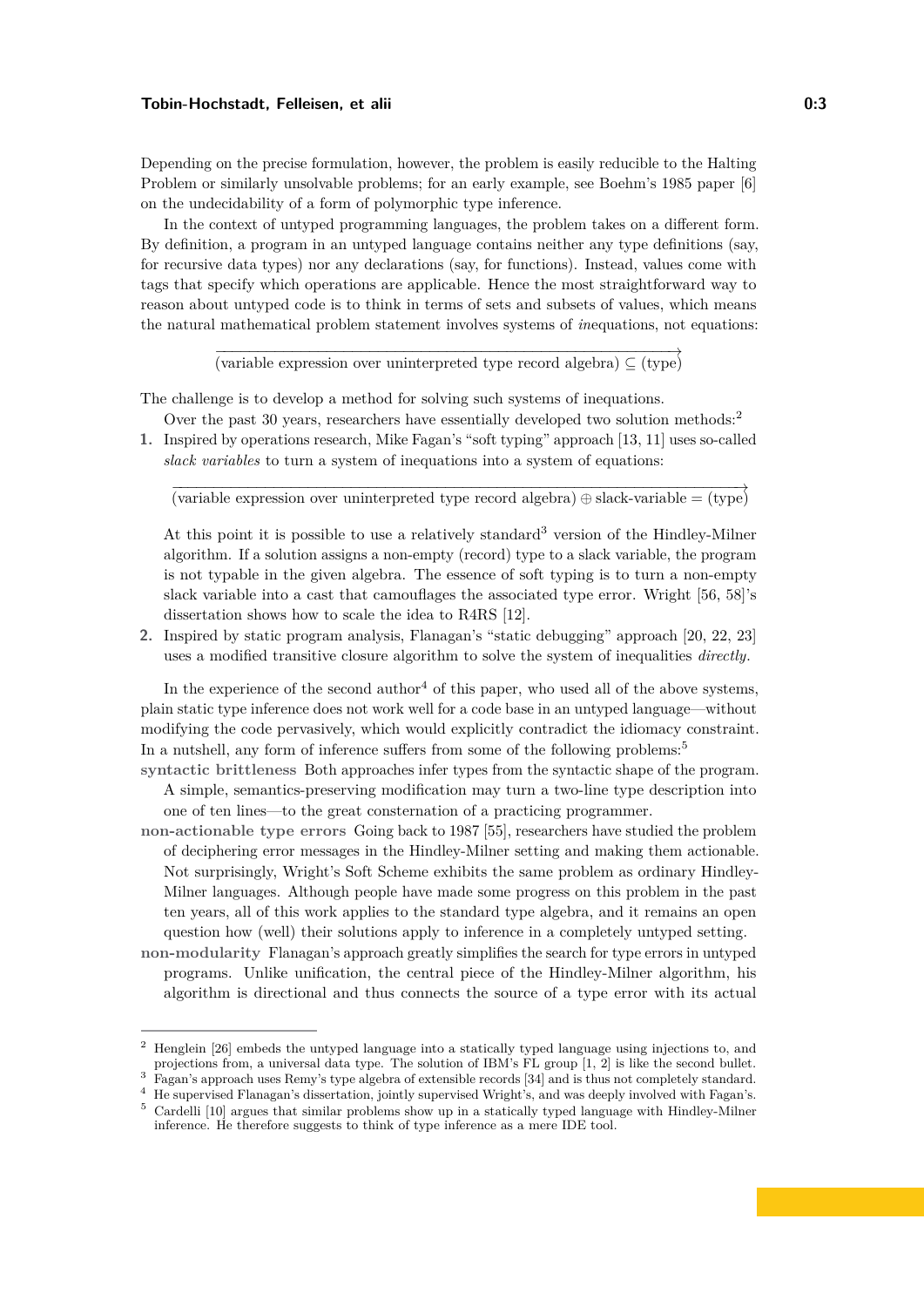Depending on the precise formulation, however, the problem is easily reducible to the Halting Problem or similarly unsolvable problems; for an early example, see Boehm's 1985 paper [\[6\]](#page-13-4) on the undecidability of a form of polymorphic type inference.

In the context of untyped programming languages, the problem takes on a different form. By definition, a program in an untyped language contains neither any type definitions (say, for recursive data types) nor any declarations (say, for functions). Instead, values come with tags that specify which operations are applicable. Hence the most straightforward way to reason about untyped code is to think in terms of sets and subsets of values, which means the natural mathematical problem statement involves systems of *in*equations, not equations:

 $\overrightarrow{v \text{ariable expression over uninterpreted type record algebra}} \subseteq (\text{type})$ 

The challenge is to develop a method for solving such systems of inequations.

- Over the past 30 years, researchers have essentially developed two solution methods:[2](#page-2-0)
- **1.** Inspired by operations research, Mike Fagan's "soft typing" approach [\[13,](#page-13-5) [11\]](#page-13-6) uses so-called *slack variables* to turn a system of inequations into a system of equations:

 $\frac{1}{\text{(variable expression over uninterpreted type record algebra)}} \oplus \text{slack-variable} = (\text{type})$ 

At this point it is possible to use a relatively standard<sup>[3](#page-2-1)</sup> version of the Hindley-Milner algorithm. If a solution assigns a non-empty (record) type to a slack variable, the program is not typable in the given algebra. The essence of soft typing is to turn a non-empty slack variable into a cast that camouflages the associated type error. Wright [\[56,](#page-15-3) [58\]](#page-15-4)'s dissertation shows how to scale the idea to R4RS [\[12\]](#page-13-7).

**2.** Inspired by static program analysis, Flanagan's "static debugging" approach [\[20,](#page-14-1) [22,](#page-14-2) [23\]](#page-14-3) uses a modified transitive closure algorithm to solve the system of inequalities *directly*.

In the experience of the second author<sup>[4](#page-2-2)</sup> of this paper, who used all of the above systems, plain static type inference does not work well for a code base in an untyped language—without modifying the code pervasively, which would explicitly contradict the idiomacy constraint. In a nutshell, any form of inference suffers from some of the following problems:<sup>[5](#page-2-3)</sup>

**syntactic brittleness** Both approaches infer types from the syntactic shape of the program. A simple, semantics-preserving modification may turn a two-line type description into one of ten lines—to the great consternation of a practicing programmer.

- **non-actionable type errors** Going back to 1987 [\[55\]](#page-15-5), researchers have studied the problem of deciphering error messages in the Hindley-Milner setting and making them actionable. Not surprisingly, Wright's Soft Scheme exhibits the same problem as ordinary Hindley-Milner languages. Although people have made some progress on this problem in the past ten years, all of this work applies to the standard type algebra, and it remains an open question how (well) their solutions apply to inference in a completely untyped setting.
- **non-modularity** Flanagan's approach greatly simplifies the search for type errors in untyped programs. Unlike unification, the central piece of the Hindley-Milner algorithm, his algorithm is directional and thus connects the source of a type error with its actual

<span id="page-2-0"></span><sup>2</sup> Henglein [\[26\]](#page-14-4) embeds the untyped language into a statically typed language using injections to, and projections from, a universal data type. The solution of IBM's FL group [\[1,](#page-13-8) [2\]](#page-13-9) is like the second bullet.

<span id="page-2-1"></span><sup>&</sup>lt;sup>3</sup> Fagan's approach uses Remy's type algebra of extensible records [\[34\]](#page-14-5) and is thus not completely standard.

<span id="page-2-2"></span><sup>4</sup> He supervised Flanagan's dissertation, jointly supervised Wright's, and was deeply involved with Fagan's.

<span id="page-2-3"></span><sup>5</sup> Cardelli [\[10\]](#page-13-10) argues that similar problems show up in a statically typed language with Hindley-Milner inference. He therefore suggests to think of type inference as a mere IDE tool.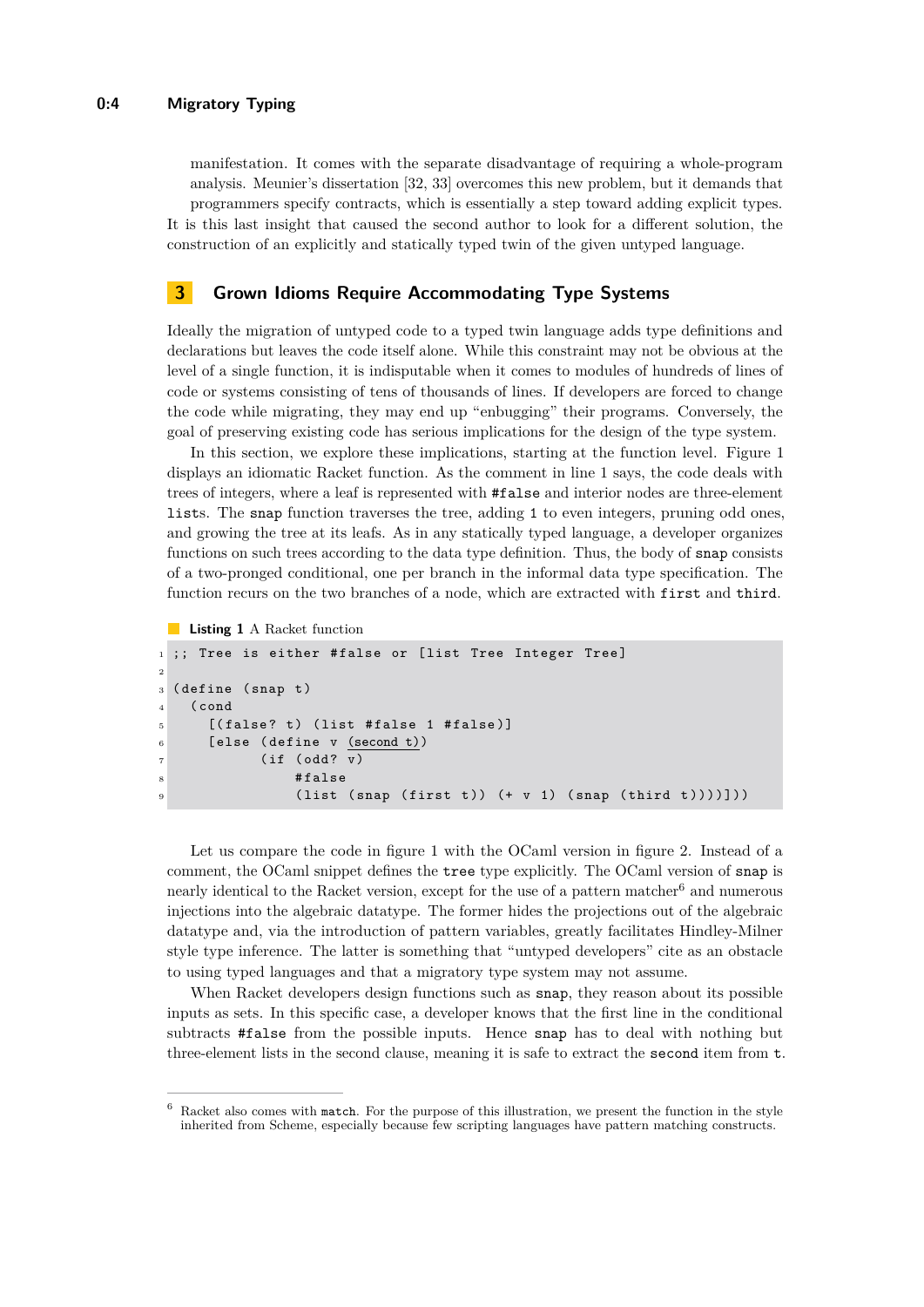manifestation. It comes with the separate disadvantage of requiring a whole-program analysis. Meunier's dissertation [\[32,](#page-14-6) [33\]](#page-14-7) overcomes this new problem, but it demands that programmers specify contracts, which is essentially a step toward adding explicit types. It is this last insight that caused the second author to look for a different solution, the construction of an explicitly and statically typed twin of the given untyped language.

## <span id="page-3-0"></span>**3 Grown Idioms Require Accommodating Type Systems**

Ideally the migration of untyped code to a typed twin language adds type definitions and declarations but leaves the code itself alone. While this constraint may not be obvious at the level of a single function, it is indisputable when it comes to modules of hundreds of lines of code or systems consisting of tens of thousands of lines. If developers are forced to change the code while migrating, they may end up "enbugging" their programs. Conversely, the goal of preserving existing code has serious implications for the design of the type system.

In this section, we explore these implications, starting at the function level. Figure [1](#page-3-1) displays an idiomatic Racket function. As the comment in line 1 says, the code deals with trees of integers, where a leaf is represented with #false and interior nodes are three-element lists. The snap function traverses the tree, adding 1 to even integers, pruning odd ones, and growing the tree at its leafs. As in any statically typed language, a developer organizes functions on such trees according to the data type definition. Thus, the body of snap consists of a two-pronged conditional, one per branch in the informal data type specification. The function recurs on the two branches of a node, which are extracted with first and third.

```
Listing 1 A Racket function
```

```
1 ;; Tree is either # false or [list Tree Integer Tree]
2
3 (define (snap t)
4 ( cond
5 [(false? t) (list #false 1 #false)]
6 [ else ( define v (second t))
7 (if (odd? v)
\overline{\text{}} \overline{\text{}} \overline{\text{}} \overline{\text{}} \overline{\text{}} \overline{\text{}} \overline{\text{}} \overline{\text{}} \overline{\text{}} \overline{\text{}} \overline{\text{}} \overline{\text{}} \overline{\text{}} \overline{\text{}} \overline{\text{}} \overline{\text{}} \overline{\text{}} \overline{\text{}} \overline{\text{}} \overline{\text{}} \overline{\text{}} \overline{\text{}} 9 ( list ( snap ( first t ) ) ( + v 1 ) ( snap ( third t ) ) ) ] ) )
```
Let us compare the code in figure [1](#page-3-1) with the OCaml version in figure [2.](#page-4-0) Instead of a comment, the OCaml snippet defines the tree type explicitly. The OCaml version of snap is nearly identical to the Racket version, except for the use of a pattern matcher $^6$  $^6$  and numerous injections into the algebraic datatype. The former hides the projections out of the algebraic datatype and, via the introduction of pattern variables, greatly facilitates Hindley-Milner style type inference. The latter is something that "untyped developers" cite as an obstacle to using typed languages and that a migratory type system may not assume.

When Racket developers design functions such as snap, they reason about its possible inputs as sets. In this specific case, a developer knows that the first line in the conditional subtracts #false from the possible inputs. Hence snap has to deal with nothing but three-element lists in the second clause, meaning it is safe to extract the second item from t.

<span id="page-3-2"></span><sup>6</sup> Racket also comes with match. For the purpose of this illustration, we present the function in the style inherited from Scheme, especially because few scripting languages have pattern matching constructs.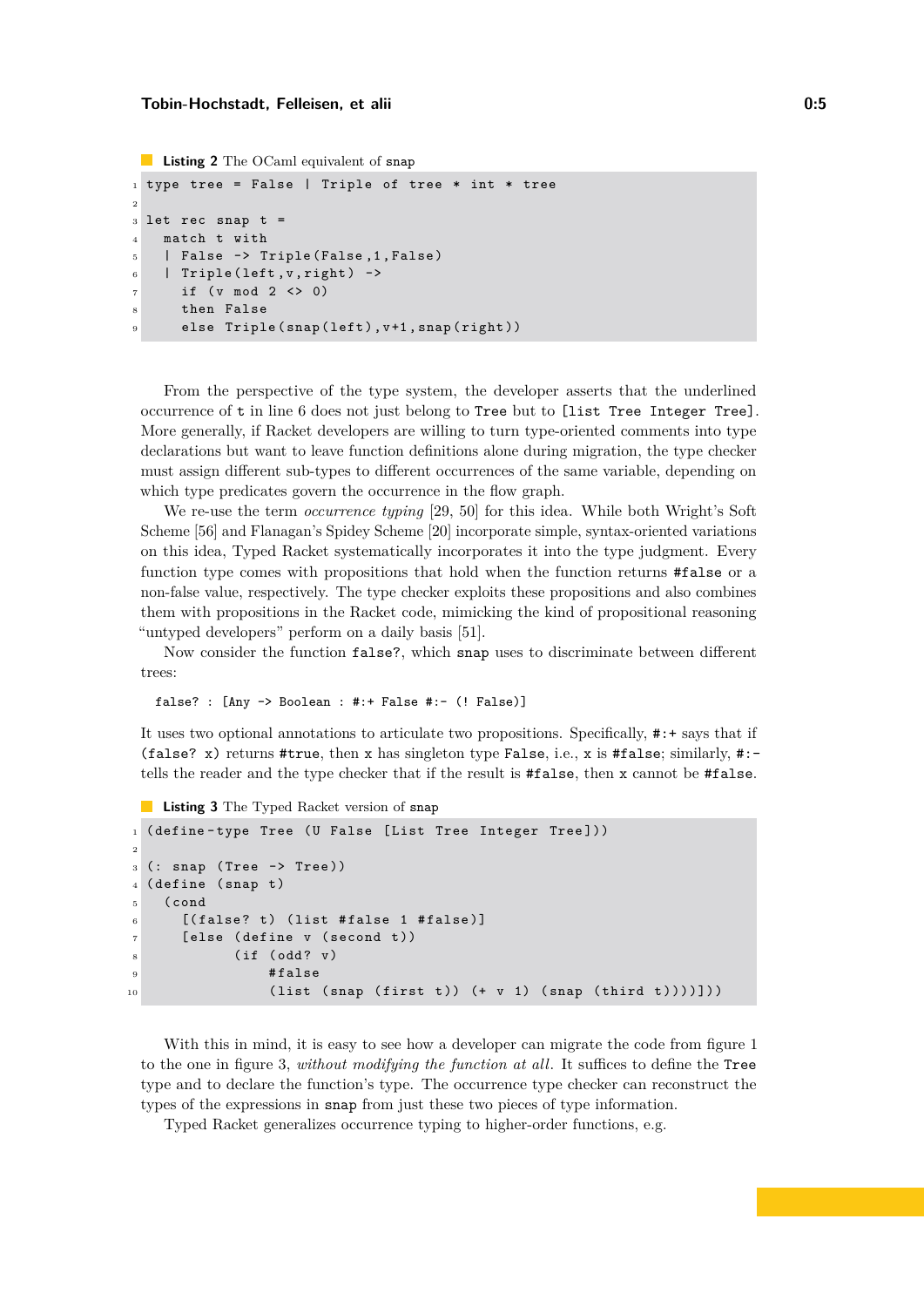```
Listing 2 The OCaml equivalent of snap
```

```
1 type tree = False | Triple of tree * int * tree
2
3 let rec snap t =4 match t with
5 | False -> Triple (False, 1, False)
6 | Triple (left, v, right) ->
     if (v \mod 2 \iff 0)
8 then False
9 else Triple (snap (left), v+1, snap (right))
```
From the perspective of the type system, the developer asserts that the underlined occurrence of t in line 6 does not just belong to Tree but to [list Tree Integer Tree]. More generally, if Racket developers are willing to turn type-oriented comments into type declarations but want to leave function definitions alone during migration, the type checker must assign different sub-types to different occurrences of the same variable, depending on which type predicates govern the occurrence in the flow graph.

We re-use the term *occurrence typing* [\[29,](#page-14-8) [50\]](#page-15-6) for this idea. While both Wright's Soft Scheme [\[56\]](#page-15-3) and Flanagan's Spidey Scheme [\[20\]](#page-14-1) incorporate simple, syntax-oriented variations on this idea, Typed Racket systematically incorporates it into the type judgment. Every function type comes with propositions that hold when the function returns #false or a non-false value, respectively. The type checker exploits these propositions and also combines them with propositions in the Racket code, mimicking the kind of propositional reasoning "untyped developers" perform on a daily basis [\[51\]](#page-15-7).

Now consider the function false?, which snap uses to discriminate between different trees:

false? : [Any -> Boolean : #:+ False #:- (! False)]

It uses two optional annotations to articulate two propositions. Specifically, #:+ says that if (false? x) returns #true, then x has singleton type False, i.e., x is #false; similarly, #:tells the reader and the type checker that if the result is #false, then x cannot be #false.

<span id="page-4-1"></span>**Listing 3** The Typed Racket version of snap

```
1 ( define-type Tree ( U False [List Tree Integer Tree]))
2
_3 (: snap (Tree \rightarrow Tree))
4 (define (snap t)
5 ( cond
6 [(false? t) (list #false 1 #false)]
7 [ else ( define v ( second t ))
8 ( if ( odd ? v )
9 # false
10 ( list ( snap ( first t ) ) ( + v 1 ) ( snap ( third t ) ) ) ] ] )
```
With this in mind, it is easy to see how a developer can migrate the code from figure [1](#page-3-1) to the one in figure [3,](#page-4-1) *without modifying the function at all*. It suffices to define the Tree type and to declare the function's type. The occurrence type checker can reconstruct the types of the expressions in snap from just these two pieces of type information.

Typed Racket generalizes occurrence typing to higher-order functions, e.g.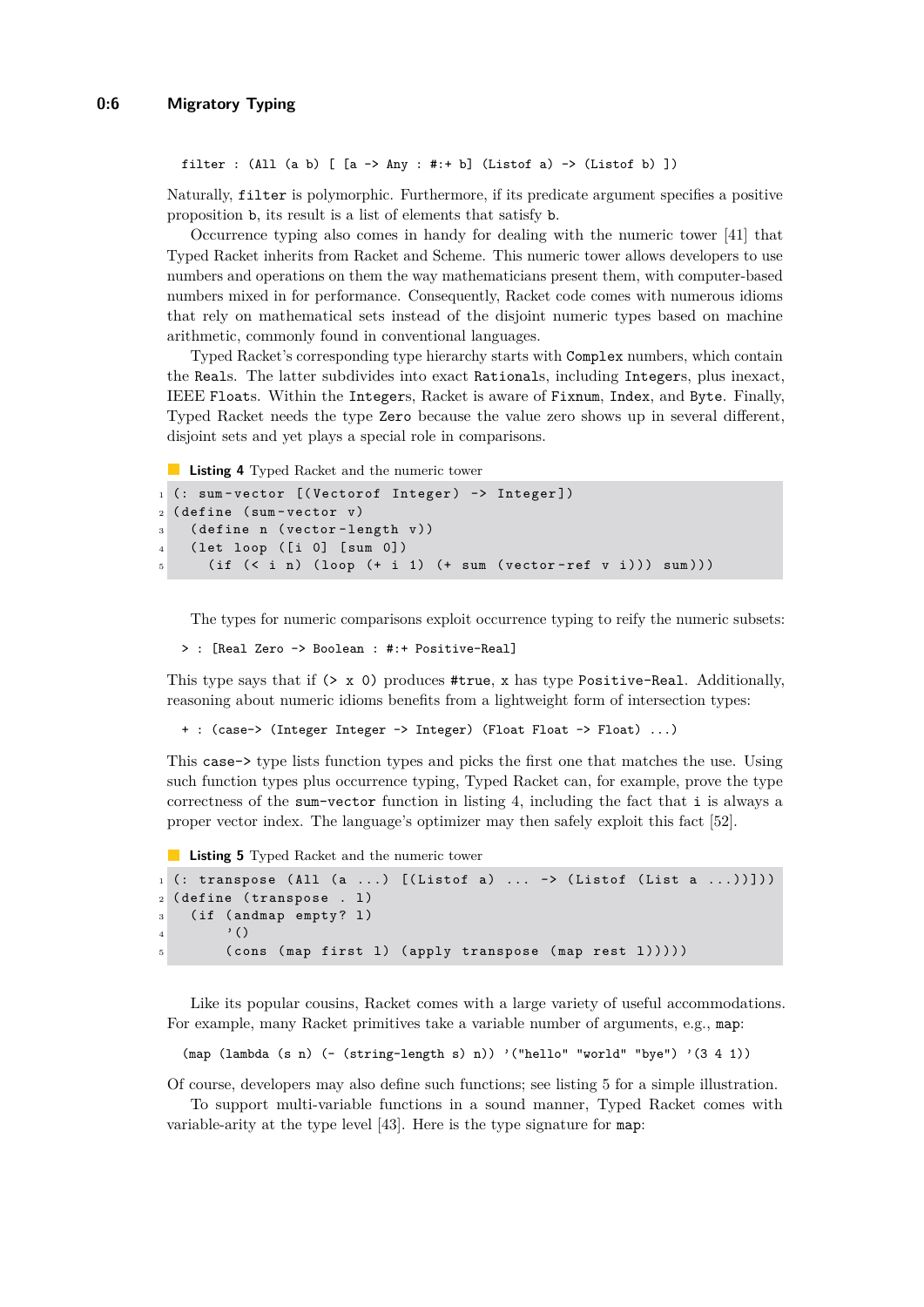```
filter : (All (a b) [ [a -> Any : #:+ b] (Listof a) -> (Listof b) ])
```
Naturally, filter is polymorphic. Furthermore, if its predicate argument specifies a positive proposition b, its result is a list of elements that satisfy b.

Occurrence typing also comes in handy for dealing with the numeric tower [\[41\]](#page-15-8) that Typed Racket inherits from Racket and Scheme. This numeric tower allows developers to use numbers and operations on them the way mathematicians present them, with computer-based numbers mixed in for performance. Consequently, Racket code comes with numerous idioms that rely on mathematical sets instead of the disjoint numeric types based on machine arithmetic, commonly found in conventional languages.

Typed Racket's corresponding type hierarchy starts with Complex numbers, which contain the Reals. The latter subdivides into exact Rationals, including Integers, plus inexact, IEEE Floats. Within the Integers, Racket is aware of Fixnum, Index, and Byte. Finally, Typed Racket needs the type Zero because the value zero shows up in several different, disjoint sets and yet plays a special role in comparisons.

<span id="page-5-0"></span>**Listing 4** Typed Racket and the numeric tower

```
1 (: sum-vector [(Vectorof Integer) -> Integer])
2 ( define ( sum - vector v )
3 ( define n ( vector - length v ))
4 ( let loop ( [i 0] [sum 0])
5 (if (<i>i</i> n) (loop (+<i>i</i> 1) (+<i>sum</i> (vector-ref v i))) sum)))
```
The types for numeric comparisons exploit occurrence typing to reify the numeric subsets:

> : [Real Zero -> Boolean : #:+ Positive-Real]

This type says that if  $(> x 0)$  produces #true, x has type Positive-Real. Additionally, reasoning about numeric idioms benefits from a lightweight form of intersection types:

+ : (case-> (Integer Integer -> Integer) (Float Float -> Float) ...)

This case-> type lists function types and picks the first one that matches the use. Using such function types plus occurrence typing, Typed Racket can, for example, prove the type correctness of the sum-vector function in listing [4,](#page-5-0) including the fact that i is always a proper vector index. The language's optimizer may then safely exploit this fact [\[52\]](#page-15-9).

<span id="page-5-1"></span>**Listing 5** Typed Racket and the numeric tower

```
1 (: transpose (All (a \ldots) [(Listof a) \ldots -> (Listof (List a \ldots))]))
2 (define (transpose . 1)
3 (if (andmap empty? 1)
\overline{4} '()
5 ( cons (map first 1) ( apply transpose (map rest 1) ) ) )
```
Like its popular cousins, Racket comes with a large variety of useful accommodations. For example, many Racket primitives take a variable number of arguments, e.g., map:

```
(\text{map (lambda (s n) (- (string-length s) n)) '("hello" "world" "bye") ' (3 4 1))
```
Of course, developers may also define such functions; see listing [5](#page-5-1) for a simple illustration. To support multi-variable functions in a sound manner, Typed Racket comes with

variable-arity at the type level [\[43\]](#page-15-10). Here is the type signature for map: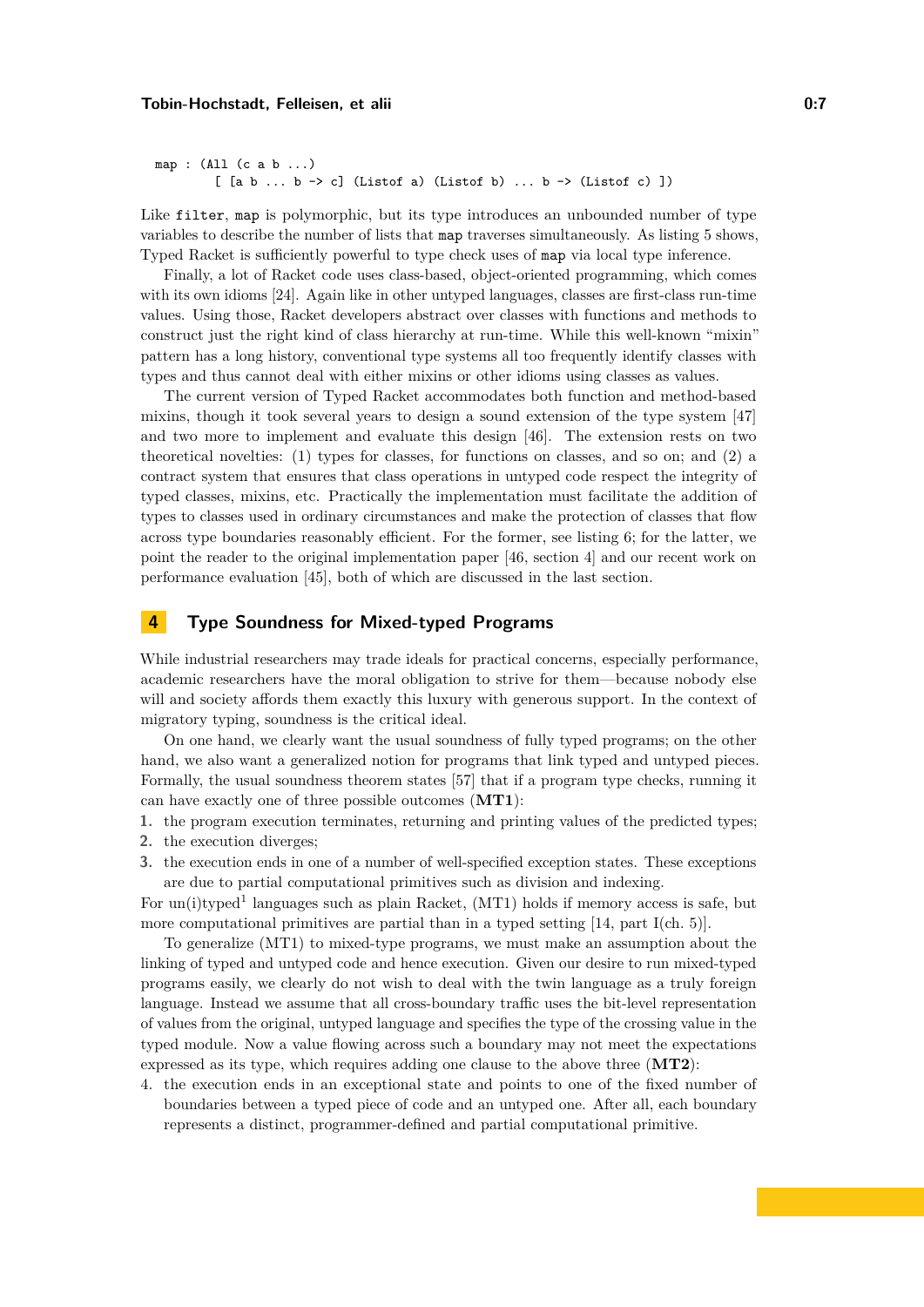```
map : (All (c a b ...)
           [ [a \ b \ ... \ b \rightarrow c] (Listof a) (Listof b) \ldots b \rightarrow (Listof c) ])
```
Like filter, map is polymorphic, but its type introduces an unbounded number of type variables to describe the number of lists that map traverses simultaneously. As listing [5](#page-5-1) shows, Typed Racket is sufficiently powerful to type check uses of map via local type inference.

Finally, a lot of Racket code uses class-based, object-oriented programming, which comes with its own idioms [\[24\]](#page-14-9). Again like in other untyped languages, classes are first-class run-time values. Using those, Racket developers abstract over classes with functions and methods to construct just the right kind of class hierarchy at run-time. While this well-known "mixin" pattern has a long history, conventional type systems all too frequently identify classes with types and thus cannot deal with either mixins or other idioms using classes as values.

The current version of Typed Racket accommodates both function and method-based mixins, though it took several years to design a sound extension of the type system [\[47\]](#page-15-11) and two more to implement and evaluate this design [\[46\]](#page-15-12). The extension rests on two theoretical novelties: (1) types for classes, for functions on classes, and so on; and (2) a contract system that ensures that class operations in untyped code respect the integrity of typed classes, mixins, etc. Practically the implementation must facilitate the addition of types to classes used in ordinary circumstances and make the protection of classes that flow across type boundaries reasonably efficient. For the former, see listing [6;](#page-8-0) for the latter, we point the reader to the original implementation paper [\[46,](#page-15-12) section 4] and our recent work on performance evaluation [\[45\]](#page-15-13), both of which are discussed in the last section.

## <span id="page-6-0"></span>**4 Type Soundness for Mixed-typed Programs**

While industrial researchers may trade ideals for practical concerns, especially performance, academic researchers have the moral obligation to strive for them—because nobody else will and society affords them exactly this luxury with generous support. In the context of migratory typing, soundness is the critical ideal.

On one hand, we clearly want the usual soundness of fully typed programs; on the other hand, we also want a generalized notion for programs that link typed and untyped pieces. Formally, the usual soundness theorem states [\[57\]](#page-15-14) that if a program type checks, running it can have exactly one of three possible outcomes (**MT1**):

- **1.** the program execution terminates, returning and printing values of the predicted types;
- **2.** the execution diverges;
- **3.** the execution ends in one of a number of well-specified exception states. These exceptions are due to partial computational primitives such as division and indexing.

For un(i)typed<sup>1</sup> languages such as plain Racket, (MT1) holds if memory access is safe, but more computational primitives are partial than in a typed setting [\[14,](#page-13-11) part I(ch. 5)].

To generalize (MT1) to mixed-type programs, we must make an assumption about the linking of typed and untyped code and hence execution. Given our desire to run mixed-typed programs easily, we clearly do not wish to deal with the twin language as a truly foreign language. Instead we assume that all cross-boundary traffic uses the bit-level representation of values from the original, untyped language and specifies the type of the crossing value in the typed module. Now a value flowing across such a boundary may not meet the expectations expressed as its type, which requires adding one clause to the above three (**MT2**):

4. the execution ends in an exceptional state and points to one of the fixed number of boundaries between a typed piece of code and an untyped one. After all, each boundary represents a distinct, programmer-defined and partial computational primitive.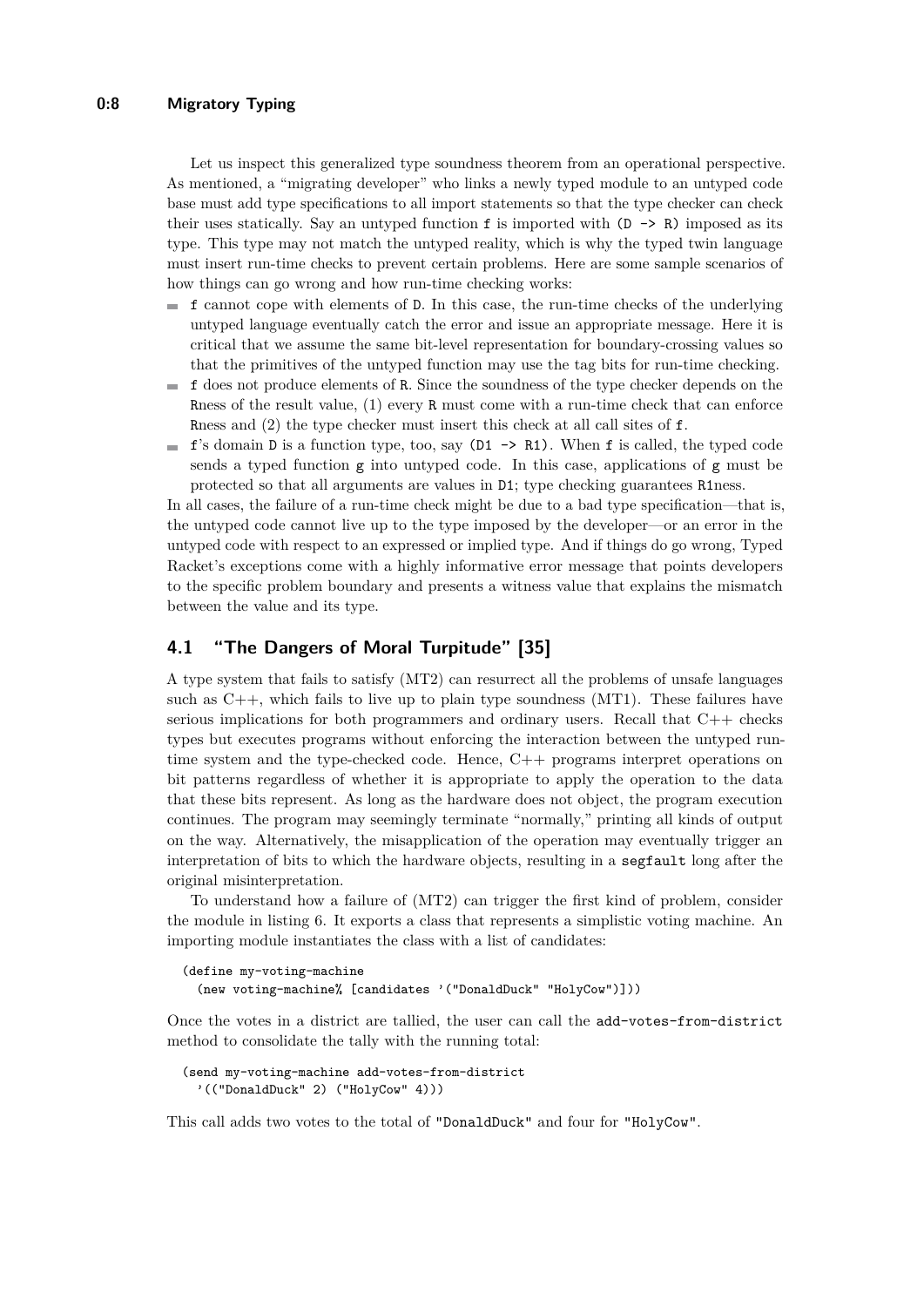#### **0:8 Migratory Typing**

Let us inspect this generalized type soundness theorem from an operational perspective. As mentioned, a "migrating developer" who links a newly typed module to an untyped code base must add type specifications to all import statements so that the type checker can check their uses statically. Say an untyped function  $f$  is imported with  $(D \rightarrow R)$  imposed as its type. This type may not match the untyped reality, which is why the typed twin language must insert run-time checks to prevent certain problems. Here are some sample scenarios of how things can go wrong and how run-time checking works:

- $\blacksquare$  f cannot cope with elements of D. In this case, the run-time checks of the underlying untyped language eventually catch the error and issue an appropriate message. Here it is critical that we assume the same bit-level representation for boundary-crossing values so that the primitives of the untyped function may use the tag bits for run-time checking.
- f does not produce elements of R. Since the soundness of the type checker depends on the m. Rness of the result value, (1) every R must come with a run-time check that can enforce Rness and (2) the type checker must insert this check at all call sites of f.
- $\blacksquare$  **f**'s domain D is a function type, too, say (D1  $\rightarrow$  R1). When **f** is called, the typed code sends a typed function g into untyped code. In this case, applications of g must be protected so that all arguments are values in D1; type checking guarantees R1ness.

In all cases, the failure of a run-time check might be due to a bad type specification—that is, the untyped code cannot live up to the type imposed by the developer—or an error in the untyped code with respect to an expressed or implied type. And if things do go wrong, Typed Racket's exceptions come with a highly informative error message that points developers to the specific problem boundary and presents a witness value that explains the mismatch between the value and its type.

## <span id="page-7-0"></span>**4.1 "The Dangers of Moral Turpitude" [\[35\]](#page-14-10)**

A type system that fails to satisfy (MT2) can resurrect all the problems of unsafe languages such as  $C_{++}$ , which fails to live up to plain type soundness (MT1). These failures have serious implications for both programmers and ordinary users. Recall that C++ checks types but executes programs without enforcing the interaction between the untyped runtime system and the type-checked code. Hence, C++ programs interpret operations on bit patterns regardless of whether it is appropriate to apply the operation to the data that these bits represent. As long as the hardware does not object, the program execution continues. The program may seemingly terminate "normally," printing all kinds of output on the way. Alternatively, the misapplication of the operation may eventually trigger an interpretation of bits to which the hardware objects, resulting in a segfault long after the original misinterpretation.

To understand how a failure of (MT2) can trigger the first kind of problem, consider the module in listing [6.](#page-8-0) It exports a class that represents a simplistic voting machine. An importing module instantiates the class with a list of candidates:

```
(define my-voting-machine
 (new voting-machine% [candidates '("DonaldDuck" "HolyCow")]))
```
Once the votes in a district are tallied, the user can call the add-votes-from-district method to consolidate the tally with the running total:

```
(send my-voting-machine add-votes-from-district
  '(("DonaldDuck" 2) ("HolyCow" 4)))
```
This call adds two votes to the total of "DonaldDuck" and four for "HolyCow".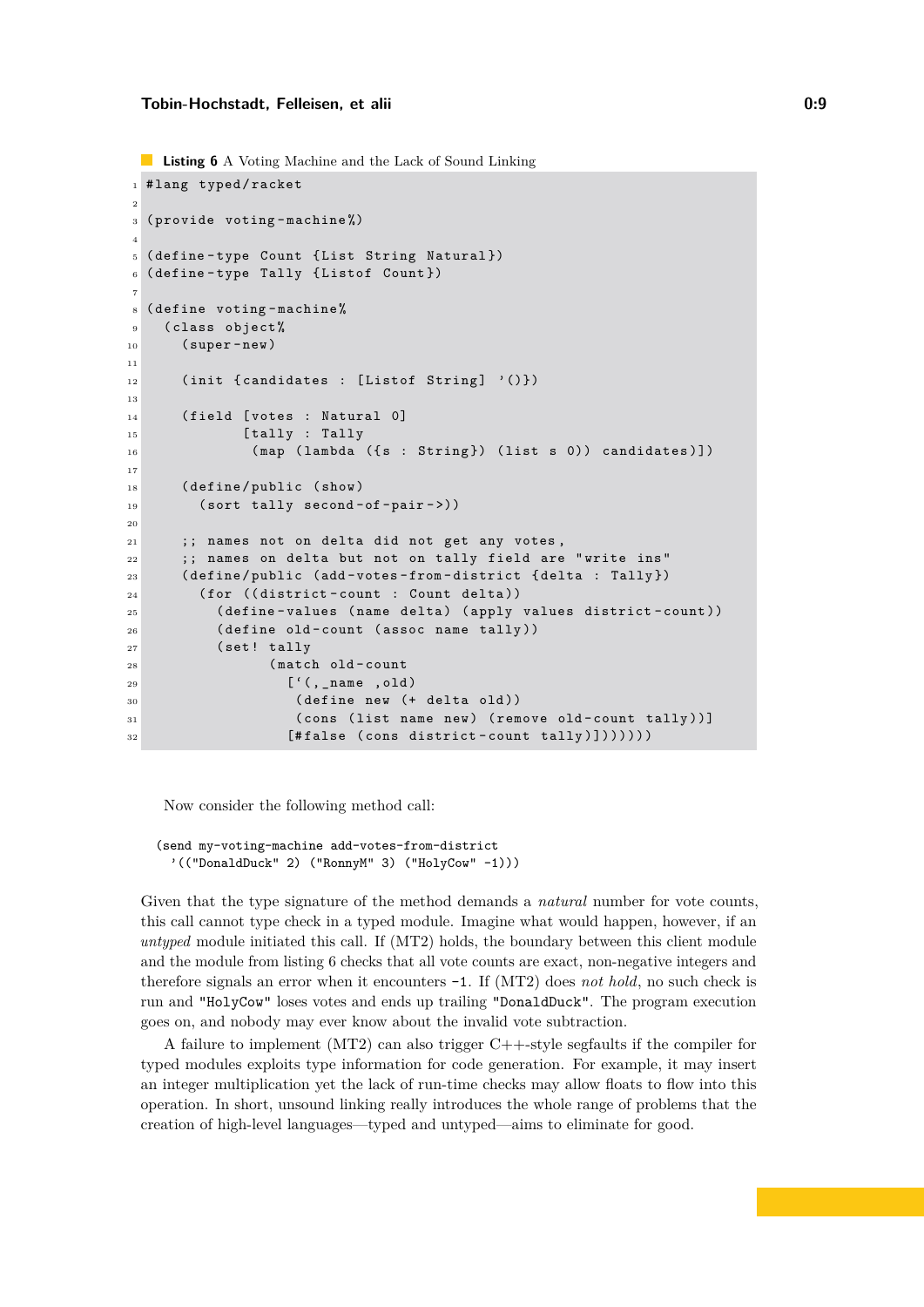```
Listing 6 A Voting Machine and the Lack of Sound Linking
1 # lang typed/racket
2
3 ( provide voting - machine %)
4
5 ( define - type Count { List String Natural })
6 ( define - type Tally { Listof Count })
7
8 ( define voting - machine %
9 ( class object %
10 ( super - new )
11
12 (init { candidates : [Listof String] '()})
13
14 (field [votes : Natural 0]
15 [tally : Tally
16 ( map ( lambda ({ s : String }) ( list s 0)) candidates )])
17
18 (define/public (show)
19 ( sort tally second-of-pair->))
20
21 ;; names not on delta did not get any votes ,
22 ;; names on delta but not on tally field are "write ins"
23 ( define / public ( add - votes - from - district { delta : Tally })
24 ( for (( district - count : Count delta ))
25 ( define - values ( name delta ) ( apply values district - count ))
26 ( define old - count ( assoc name tally ))
27 (set! tally
28 (match old-count
29 ['(, _name , old)
30 ( define new (+ delta old ))
31 ( cons ( list name new ) ( remove old - count tally ))]
32 [# false ( cons district - count tally )]))))))
```
Now consider the following method call:

```
(send my-voting-machine add-votes-from-district
  '(("DonaldDuck" 2) ("RonnyM" 3) ("HolyCow" -1)))
```
Given that the type signature of the method demands a *natural* number for vote counts, this call cannot type check in a typed module. Imagine what would happen, however, if an *untyped* module initiated this call. If (MT2) holds, the boundary between this client module and the module from listing [6](#page-8-0) checks that all vote counts are exact, non-negative integers and therefore signals an error when it encounters -1. If (MT2) does *not hold*, no such check is run and "HolyCow" loses votes and ends up trailing "DonaldDuck". The program execution goes on, and nobody may ever know about the invalid vote subtraction.

A failure to implement (MT2) can also trigger C++-style segfaults if the compiler for typed modules exploits type information for code generation. For example, it may insert an integer multiplication yet the lack of run-time checks may allow floats to flow into this operation. In short, unsound linking really introduces the whole range of problems that the creation of high-level languages—typed and untyped—aims to eliminate for good.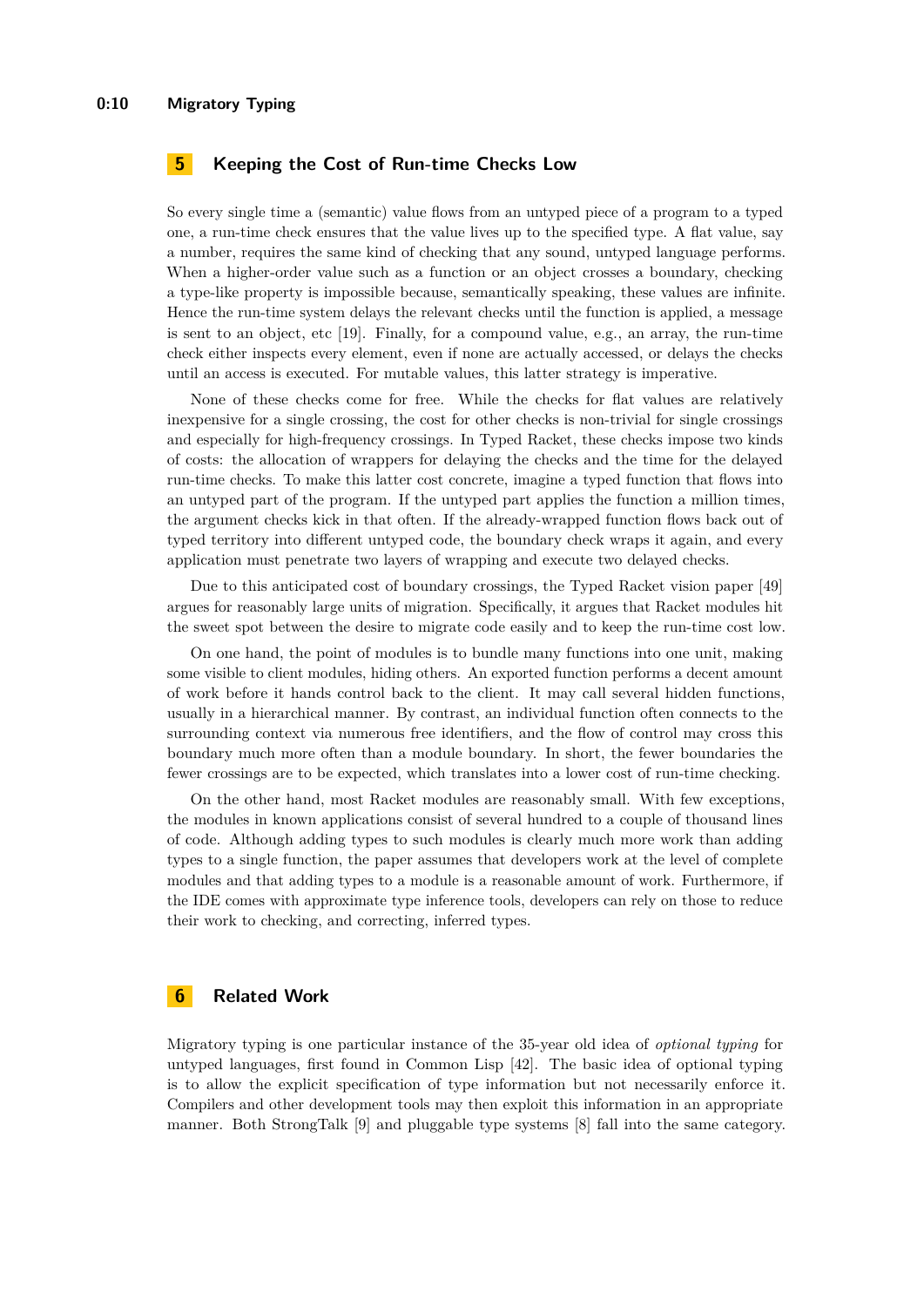## <span id="page-9-0"></span>**5 Keeping the Cost of Run-time Checks Low**

So every single time a (semantic) value flows from an untyped piece of a program to a typed one, a run-time check ensures that the value lives up to the specified type. A flat value, say a number, requires the same kind of checking that any sound, untyped language performs. When a higher-order value such as a function or an object crosses a boundary, checking a type-like property is impossible because, semantically speaking, these values are infinite. Hence the run-time system delays the relevant checks until the function is applied, a message is sent to an object, etc  $[19]$ . Finally, for a compound value, e.g., an array, the run-time check either inspects every element, even if none are actually accessed, or delays the checks until an access is executed. For mutable values, this latter strategy is imperative.

None of these checks come for free. While the checks for flat values are relatively inexpensive for a single crossing, the cost for other checks is non-trivial for single crossings and especially for high-frequency crossings. In Typed Racket, these checks impose two kinds of costs: the allocation of wrappers for delaying the checks and the time for the delayed run-time checks. To make this latter cost concrete, imagine a typed function that flows into an untyped part of the program. If the untyped part applies the function a million times, the argument checks kick in that often. If the already-wrapped function flows back out of typed territory into different untyped code, the boundary check wraps it again, and every application must penetrate two layers of wrapping and execute two delayed checks.

Due to this anticipated cost of boundary crossings, the Typed Racket vision paper [\[49\]](#page-15-1) argues for reasonably large units of migration. Specifically, it argues that Racket modules hit the sweet spot between the desire to migrate code easily and to keep the run-time cost low.

On one hand, the point of modules is to bundle many functions into one unit, making some visible to client modules, hiding others. An exported function performs a decent amount of work before it hands control back to the client. It may call several hidden functions, usually in a hierarchical manner. By contrast, an individual function often connects to the surrounding context via numerous free identifiers, and the flow of control may cross this boundary much more often than a module boundary. In short, the fewer boundaries the fewer crossings are to be expected, which translates into a lower cost of run-time checking.

On the other hand, most Racket modules are reasonably small. With few exceptions, the modules in known applications consist of several hundred to a couple of thousand lines of code. Although adding types to such modules is clearly much more work than adding types to a single function, the paper assumes that developers work at the level of complete modules and that adding types to a module is a reasonable amount of work. Furthermore, if the IDE comes with approximate type inference tools, developers can rely on those to reduce their work to checking, and correcting, inferred types.

## **6 Related Work**

Migratory typing is one particular instance of the 35-year old idea of *optional typing* for untyped languages, first found in Common Lisp [\[42\]](#page-15-15). The basic idea of optional typing is to allow the explicit specification of type information but not necessarily enforce it. Compilers and other development tools may then exploit this information in an appropriate manner. Both StrongTalk [\[9\]](#page-13-12) and pluggable type systems [\[8\]](#page-13-13) fall into the same category.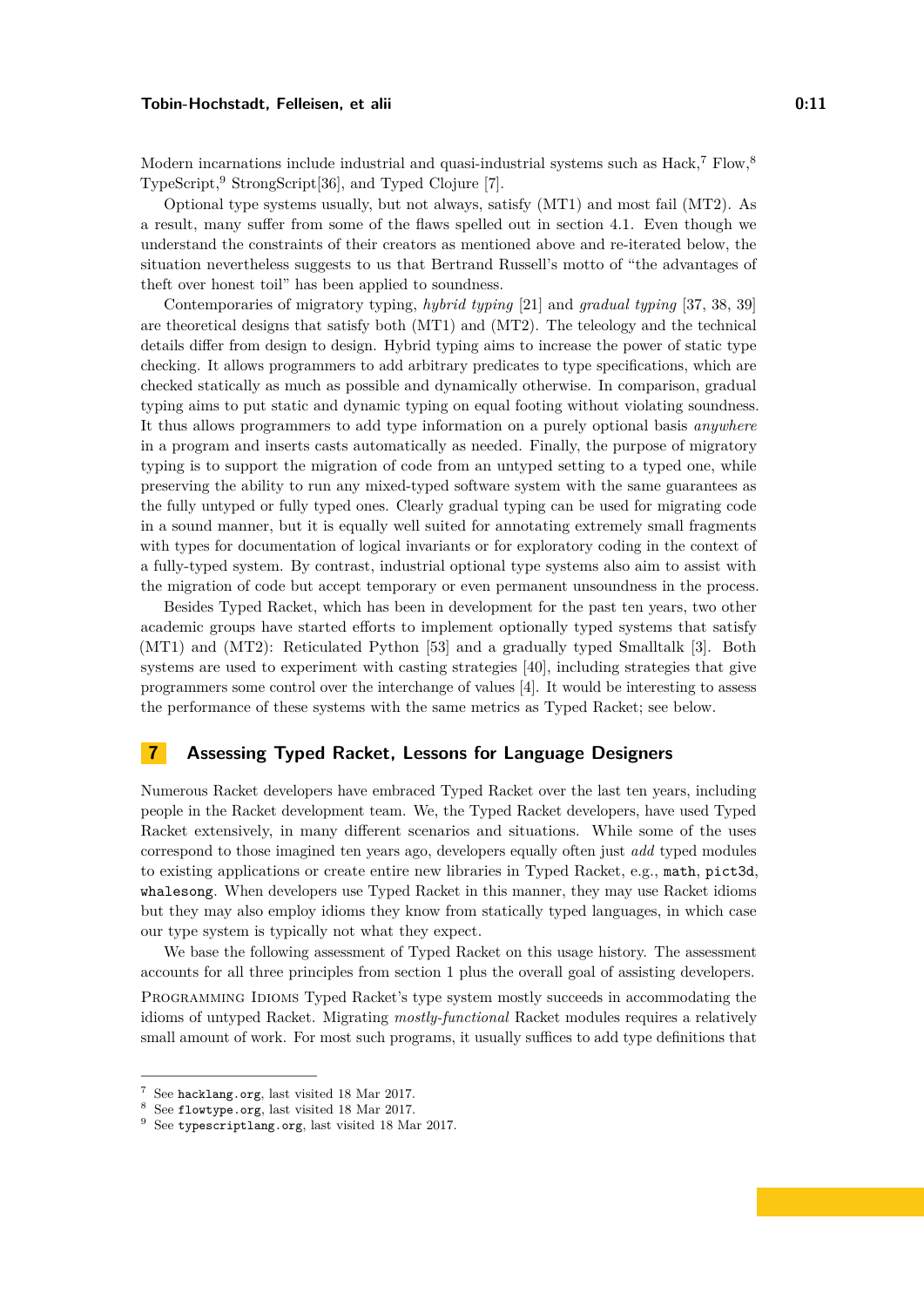Modern incarnations include industrial and quasi-industrial systems such as Hack,<sup>[7](#page-10-1)</sup> Flow,<sup>[8](#page-10-2)</sup> TypeScript,[9](#page-10-3) StrongScript[\[36\]](#page-14-12), and Typed Clojure [\[7\]](#page-13-14).

Optional type systems usually, but not always, satisfy (MT1) and most fail (MT2). As a result, many suffer from some of the flaws spelled out in section [4.1.](#page-7-0) Even though we understand the constraints of their creators as mentioned above and re-iterated below, the situation nevertheless suggests to us that Bertrand Russell's motto of "the advantages of theft over honest toil" has been applied to soundness.

Contemporaries of migratory typing, *hybrid typing* [\[21\]](#page-14-13) and *gradual typing* [\[37,](#page-14-14) [38,](#page-14-15) [39\]](#page-14-16) are theoretical designs that satisfy both (MT1) and (MT2). The teleology and the technical details differ from design to design. Hybrid typing aims to increase the power of static type checking. It allows programmers to add arbitrary predicates to type specifications, which are checked statically as much as possible and dynamically otherwise. In comparison, gradual typing aims to put static and dynamic typing on equal footing without violating soundness. It thus allows programmers to add type information on a purely optional basis *anywhere* in a program and inserts casts automatically as needed. Finally, the purpose of migratory typing is to support the migration of code from an untyped setting to a typed one, while preserving the ability to run any mixed-typed software system with the same guarantees as the fully untyped or fully typed ones. Clearly gradual typing can be used for migrating code in a sound manner, but it is equally well suited for annotating extremely small fragments with types for documentation of logical invariants or for exploratory coding in the context of a fully-typed system. By contrast, industrial optional type systems also aim to assist with the migration of code but accept temporary or even permanent unsoundness in the process.

Besides Typed Racket, which has been in development for the past ten years, two other academic groups have started efforts to implement optionally typed systems that satisfy (MT1) and (MT2): Reticulated Python [\[53\]](#page-15-16) and a gradually typed Smalltalk [\[3\]](#page-13-15). Both systems are used to experiment with casting strategies [\[40\]](#page-15-17), including strategies that give programmers some control over the interchange of values [\[4\]](#page-13-16). It would be interesting to assess the performance of these systems with the same metrics as Typed Racket; see below.

## <span id="page-10-0"></span>**7 Assessing Typed Racket, Lessons for Language Designers**

Numerous Racket developers have embraced Typed Racket over the last ten years, including people in the Racket development team. We, the Typed Racket developers, have used Typed Racket extensively, in many different scenarios and situations. While some of the uses correspond to those imagined ten years ago, developers equally often just *add* typed modules to existing applications or create entire new libraries in Typed Racket, e.g., math, pict3d, whalesong. When developers use Typed Racket in this manner, they may use Racket idioms but they may also employ idioms they know from statically typed languages, in which case our type system is typically not what they expect.

We base the following assessment of Typed Racket on this usage history. The assessment accounts for all three principles from section [1](#page-0-1) plus the overall goal of assisting developers.

PROGRAMMING IDIOMS Typed Racket's type system mostly succeeds in accommodating the idioms of untyped Racket. Migrating *mostly-functional* Racket modules requires a relatively small amount of work. For most such programs, it usually suffices to add type definitions that

<span id="page-10-1"></span>See <hacklang.org>, last visited 18 Mar 2017.

<span id="page-10-2"></span><sup>8</sup> See <flowtype.org>, last visited 18 Mar 2017.

<span id="page-10-3"></span><sup>&</sup>lt;sup>9</sup> See <typescriptlang.org>, last visited 18 Mar 2017.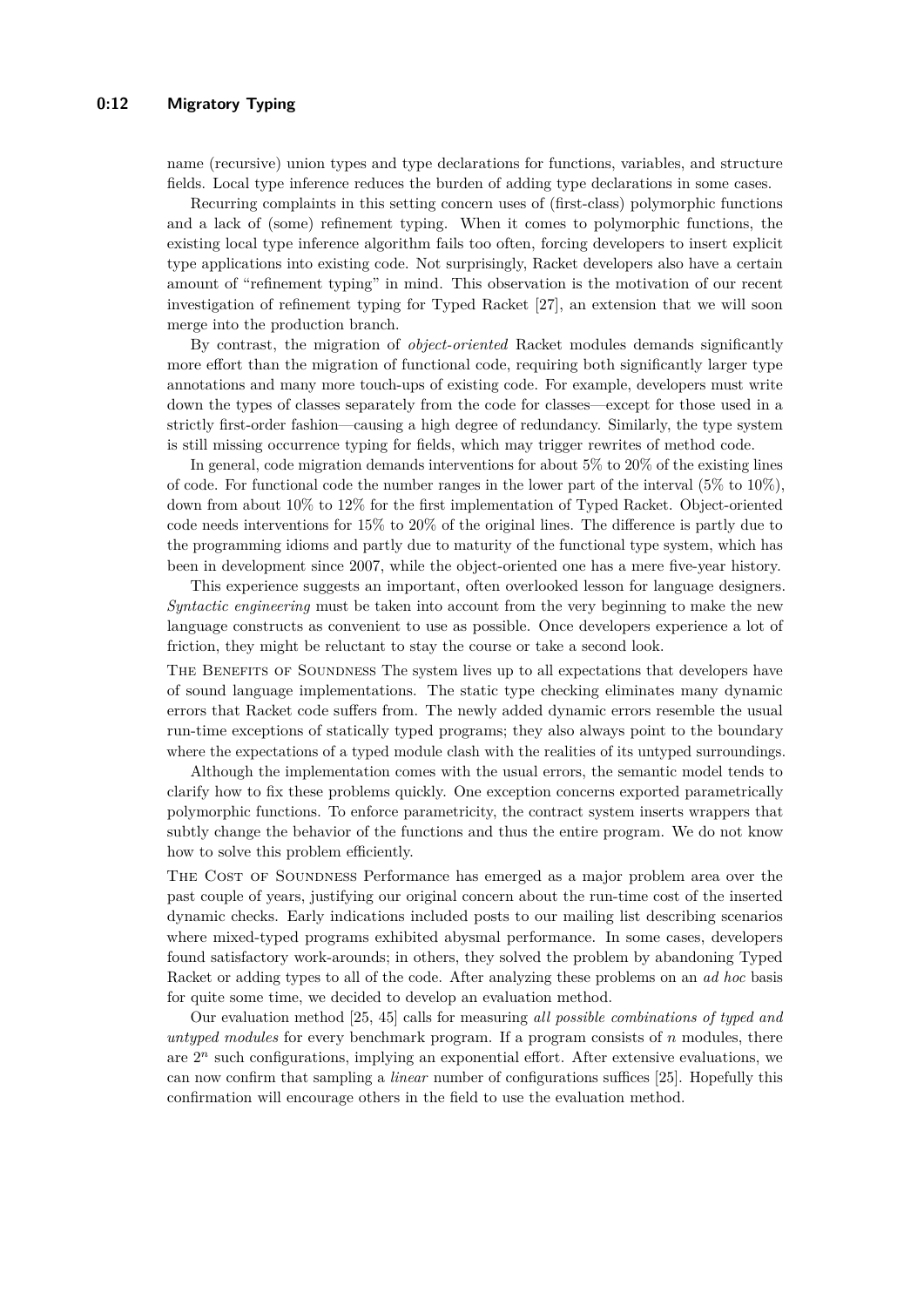name (recursive) union types and type declarations for functions, variables, and structure fields. Local type inference reduces the burden of adding type declarations in some cases.

Recurring complaints in this setting concern uses of (first-class) polymorphic functions and a lack of (some) refinement typing. When it comes to polymorphic functions, the existing local type inference algorithm fails too often, forcing developers to insert explicit type applications into existing code. Not surprisingly, Racket developers also have a certain amount of "refinement typing" in mind. This observation is the motivation of our recent investigation of refinement typing for Typed Racket [\[27\]](#page-14-17), an extension that we will soon merge into the production branch.

By contrast, the migration of *object-oriented* Racket modules demands significantly more effort than the migration of functional code, requiring both significantly larger type annotations and many more touch-ups of existing code. For example, developers must write down the types of classes separately from the code for classes—except for those used in a strictly first-order fashion—causing a high degree of redundancy. Similarly, the type system is still missing occurrence typing for fields, which may trigger rewrites of method code.

In general, code migration demands interventions for about 5% to 20% of the existing lines of code. For functional code the number ranges in the lower part of the interval  $(5\%$  to  $10\%)$ , down from about 10% to 12% for the first implementation of Typed Racket. Object-oriented code needs interventions for 15% to 20% of the original lines. The difference is partly due to the programming idioms and partly due to maturity of the functional type system, which has been in development since 2007, while the object-oriented one has a mere five-year history.

This experience suggests an important, often overlooked lesson for language designers. *Syntactic engineering* must be taken into account from the very beginning to make the new language constructs as convenient to use as possible. Once developers experience a lot of friction, they might be reluctant to stay the course or take a second look.

THE BENEFITS OF SOUNDNESS The system lives up to all expectations that developers have of sound language implementations. The static type checking eliminates many dynamic errors that Racket code suffers from. The newly added dynamic errors resemble the usual run-time exceptions of statically typed programs; they also always point to the boundary where the expectations of a typed module clash with the realities of its untyped surroundings.

Although the implementation comes with the usual errors, the semantic model tends to clarify how to fix these problems quickly. One exception concerns exported parametrically polymorphic functions. To enforce parametricity, the contract system inserts wrappers that subtly change the behavior of the functions and thus the entire program. We do not know how to solve this problem efficiently.

The Cost of Soundness Performance has emerged as a major problem area over the past couple of years, justifying our original concern about the run-time cost of the inserted dynamic checks. Early indications included posts to our mailing list describing scenarios where mixed-typed programs exhibited abysmal performance. In some cases, developers found satisfactory work-arounds; in others, they solved the problem by abandoning Typed Racket or adding types to all of the code. After analyzing these problems on an *ad hoc* basis for quite some time, we decided to develop an evaluation method.

Our evaluation method [\[25,](#page-14-18) [45\]](#page-15-13) calls for measuring *all possible combinations of typed and untyped modules* for every benchmark program. If a program consists of *n* modules, there are  $2^n$  such configurations, implying an exponential effort. After extensive evaluations, we can now confirm that sampling a *linear* number of configurations suffices [\[25\]](#page-14-18). Hopefully this confirmation will encourage others in the field to use the evaluation method.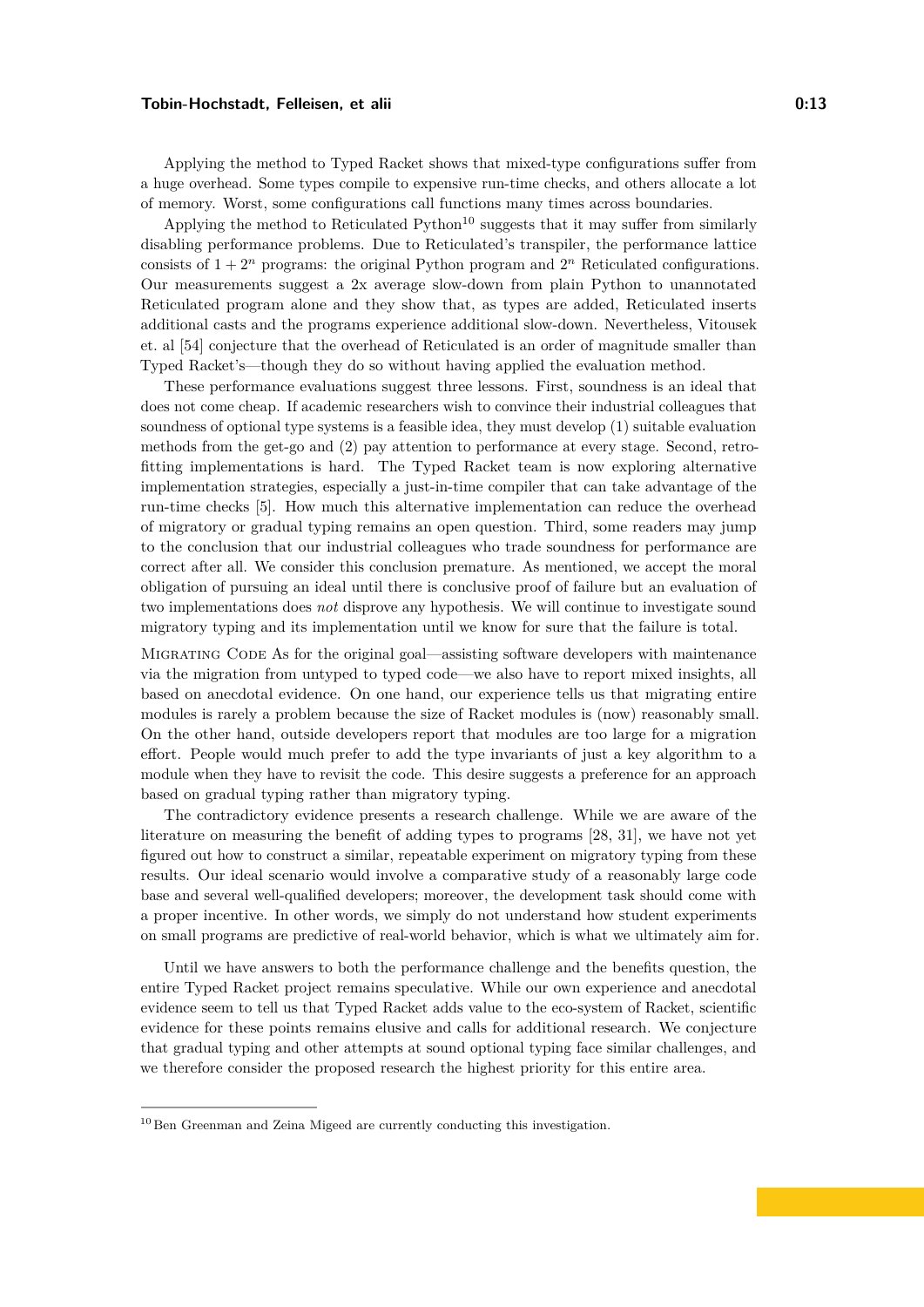Applying the method to Typed Racket shows that mixed-type configurations suffer from a huge overhead. Some types compile to expensive run-time checks, and others allocate a lot of memory. Worst, some configurations call functions many times across boundaries.

Applying the method to Reticulated  $Python<sup>10</sup>$  $Python<sup>10</sup>$  $Python<sup>10</sup>$  suggests that it may suffer from similarly disabling performance problems. Due to Reticulated's transpiler, the performance lattice consists of  $1 + 2^n$  programs: the original Python program and  $2^n$  Reticulated configurations. Our measurements suggest a 2x average slow-down from plain Python to unannotated Reticulated program alone and they show that, as types are added, Reticulated inserts additional casts and the programs experience additional slow-down. Nevertheless, Vitousek et. al [\[54\]](#page-15-18) conjecture that the overhead of Reticulated is an order of magnitude smaller than Typed Racket's—though they do so without having applied the evaluation method.

These performance evaluations suggest three lessons. First, soundness is an ideal that does not come cheap. If academic researchers wish to convince their industrial colleagues that soundness of optional type systems is a feasible idea, they must develop (1) suitable evaluation methods from the get-go and (2) pay attention to performance at every stage. Second, retrofitting implementations is hard. The Typed Racket team is now exploring alternative implementation strategies, especially a just-in-time compiler that can take advantage of the run-time checks [\[5\]](#page-13-17). How much this alternative implementation can reduce the overhead of migratory or gradual typing remains an open question. Third, some readers may jump to the conclusion that our industrial colleagues who trade soundness for performance are correct after all. We consider this conclusion premature. As mentioned, we accept the moral obligation of pursuing an ideal until there is conclusive proof of failure but an evaluation of two implementations does *not* disprove any hypothesis. We will continue to investigate sound migratory typing and its implementation until we know for sure that the failure is total.

Migrating Code As for the original goal—assisting software developers with maintenance via the migration from untyped to typed code—we also have to report mixed insights, all based on anecdotal evidence. On one hand, our experience tells us that migrating entire modules is rarely a problem because the size of Racket modules is (now) reasonably small. On the other hand, outside developers report that modules are too large for a migration effort. People would much prefer to add the type invariants of just a key algorithm to a module when they have to revisit the code. This desire suggests a preference for an approach based on gradual typing rather than migratory typing.

The contradictory evidence presents a research challenge. While we are aware of the literature on measuring the benefit of adding types to programs [\[28,](#page-14-19) [31\]](#page-14-20), we have not yet figured out how to construct a similar, repeatable experiment on migratory typing from these results. Our ideal scenario would involve a comparative study of a reasonably large code base and several well-qualified developers; moreover, the development task should come with a proper incentive. In other words, we simply do not understand how student experiments on small programs are predictive of real-world behavior, which is what we ultimately aim for.

Until we have answers to both the performance challenge and the benefits question, the entire Typed Racket project remains speculative. While our own experience and anecdotal evidence seem to tell us that Typed Racket adds value to the eco-system of Racket, scientific evidence for these points remains elusive and calls for additional research. We conjecture that gradual typing and other attempts at sound optional typing face similar challenges, and we therefore consider the proposed research the highest priority for this entire area.

<span id="page-12-0"></span><sup>&</sup>lt;sup>10</sup> Ben Greenman and Zeina Migeed are currently conducting this investigation.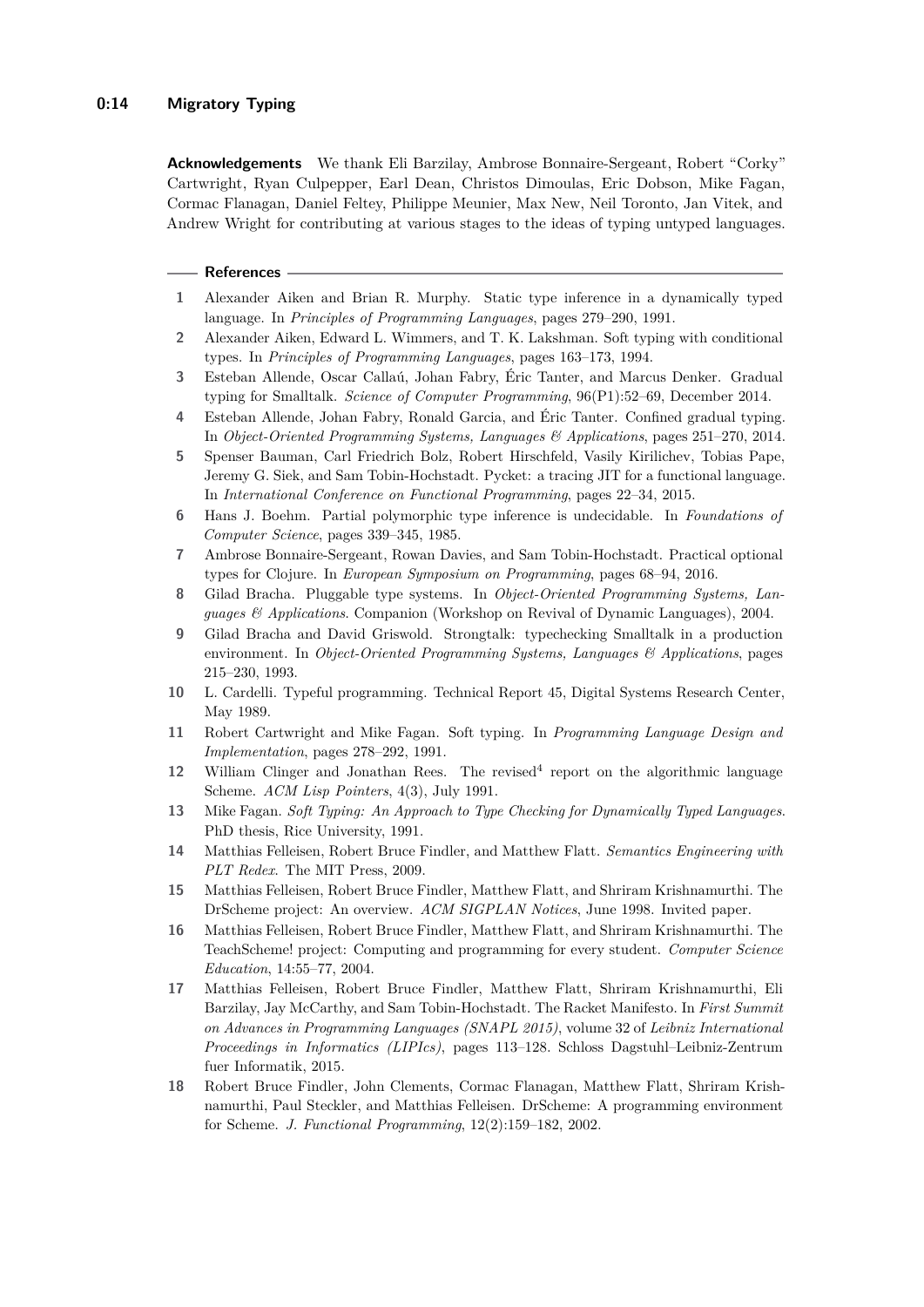#### **0:14 Migratory Typing**

**Acknowledgements** We thank Eli Barzilay, Ambrose Bonnaire-Sergeant, Robert "Corky" Cartwright, Ryan Culpepper, Earl Dean, Christos Dimoulas, Eric Dobson, Mike Fagan, Cormac Flanagan, Daniel Feltey, Philippe Meunier, Max New, Neil Toronto, Jan Vitek, and Andrew Wright for contributing at various stages to the ideas of typing untyped languages.

#### **References**

- <span id="page-13-8"></span>**1** Alexander Aiken and Brian R. Murphy. Static type inference in a dynamically typed language. In *Principles of Programming Languages*, pages 279–290, 1991.
- <span id="page-13-9"></span>**2** Alexander Aiken, Edward L. Wimmers, and T. K. Lakshman. Soft typing with conditional types. In *Principles of Programming Languages*, pages 163–173, 1994.
- <span id="page-13-15"></span>**3** Esteban Allende, Oscar Callaú, Johan Fabry, Éric Tanter, and Marcus Denker. Gradual typing for Smalltalk. *Science of Computer Programming*, 96(P1):52–69, December 2014.
- <span id="page-13-16"></span>**4** Esteban Allende, Johan Fabry, Ronald Garcia, and Éric Tanter. Confined gradual typing. In *Object-Oriented Programming Systems, Languages & Applications*, pages 251–270, 2014.
- <span id="page-13-17"></span>**5** Spenser Bauman, Carl Friedrich Bolz, Robert Hirschfeld, Vasily Kirilichev, Tobias Pape, Jeremy G. Siek, and Sam Tobin-Hochstadt. Pycket: a tracing JIT for a functional language. In *International Conference on Functional Programming*, pages 22–34, 2015.
- <span id="page-13-4"></span>**6** Hans J. Boehm. Partial polymorphic type inference is undecidable. In *Foundations of Computer Science*, pages 339–345, 1985.
- <span id="page-13-14"></span>**7** Ambrose Bonnaire-Sergeant, Rowan Davies, and Sam Tobin-Hochstadt. Practical optional types for Clojure. In *European Symposium on Programming*, pages 68–94, 2016.
- <span id="page-13-13"></span>**8** Gilad Bracha. Pluggable type systems. In *Object-Oriented Programming Systems, Languages & Applications*. Companion (Workshop on Revival of Dynamic Languages), 2004.
- <span id="page-13-12"></span>**9** Gilad Bracha and David Griswold. Strongtalk: typechecking Smalltalk in a production environment. In *Object-Oriented Programming Systems, Languages & Applications*, pages 215–230, 1993.
- <span id="page-13-10"></span>**10** L. Cardelli. Typeful programming. Technical Report 45, Digital Systems Research Center, May 1989.
- <span id="page-13-6"></span>**11** Robert Cartwright and Mike Fagan. Soft typing. In *Programming Language Design and Implementation*, pages 278–292, 1991.
- <span id="page-13-7"></span>12 William Clinger and Jonathan Rees. The revised<sup>4</sup> report on the algorithmic language Scheme. *ACM Lisp Pointers*, 4(3), July 1991.
- <span id="page-13-5"></span>**13** Mike Fagan. *Soft Typing: An Approach to Type Checking for Dynamically Typed Languages*. PhD thesis, Rice University, 1991.
- <span id="page-13-11"></span>**14** Matthias Felleisen, Robert Bruce Findler, and Matthew Flatt. *Semantics Engineering with PLT Redex*. The MIT Press, 2009.
- <span id="page-13-0"></span>**15** Matthias Felleisen, Robert Bruce Findler, Matthew Flatt, and Shriram Krishnamurthi. The DrScheme project: An overview. *ACM SIGPLAN Notices*, June 1998. Invited paper.
- <span id="page-13-1"></span>**16** Matthias Felleisen, Robert Bruce Findler, Matthew Flatt, and Shriram Krishnamurthi. The TeachScheme! project: Computing and programming for every student. *Computer Science Education*, 14:55–77, 2004.
- <span id="page-13-2"></span>**17** Matthias Felleisen, Robert Bruce Findler, Matthew Flatt, Shriram Krishnamurthi, Eli Barzilay, Jay McCarthy, and Sam Tobin-Hochstadt. The Racket Manifesto. In *First Summit on Advances in Programming Languages (SNAPL 2015)*, volume 32 of *Leibniz International Proceedings in Informatics (LIPIcs)*, pages 113–128. Schloss Dagstuhl–Leibniz-Zentrum fuer Informatik, 2015.
- <span id="page-13-3"></span>**18** Robert Bruce Findler, John Clements, Cormac Flanagan, Matthew Flatt, Shriram Krishnamurthi, Paul Steckler, and Matthias Felleisen. DrScheme: A programming environment for Scheme. *J. Functional Programming*, 12(2):159–182, 2002.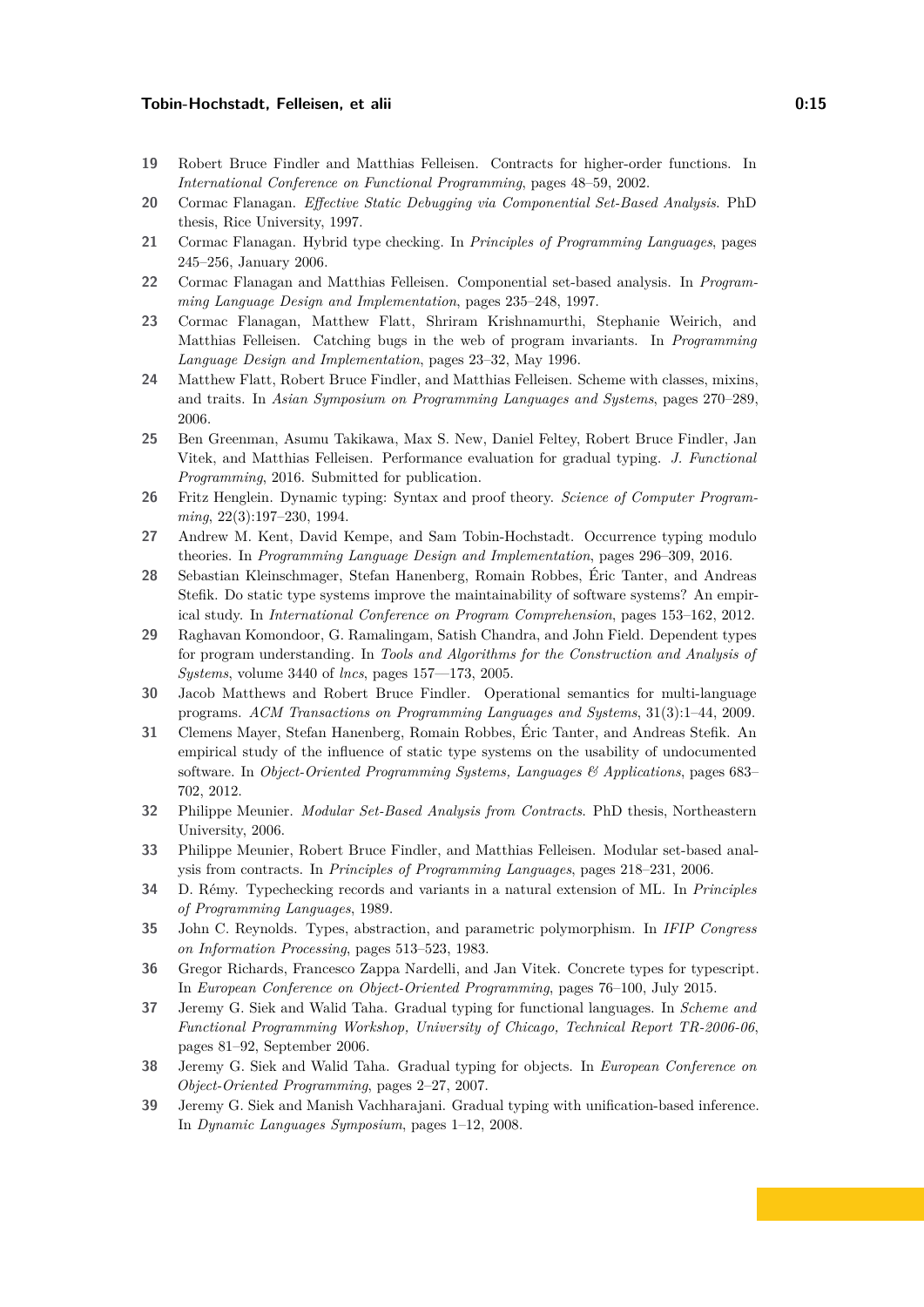- <span id="page-14-11"></span>**19** Robert Bruce Findler and Matthias Felleisen. Contracts for higher-order functions. In *International Conference on Functional Programming*, pages 48–59, 2002.
- <span id="page-14-1"></span>**20** Cormac Flanagan. *Effective Static Debugging via Componential Set-Based Analysis*. PhD thesis, Rice University, 1997.
- <span id="page-14-13"></span>**21** Cormac Flanagan. Hybrid type checking. In *Principles of Programming Languages*, pages 245–256, January 2006.
- <span id="page-14-2"></span>**22** Cormac Flanagan and Matthias Felleisen. Componential set-based analysis. In *Programming Language Design and Implementation*, pages 235–248, 1997.
- <span id="page-14-3"></span>**23** Cormac Flanagan, Matthew Flatt, Shriram Krishnamurthi, Stephanie Weirich, and Matthias Felleisen. Catching bugs in the web of program invariants. In *Programming Language Design and Implementation*, pages 23–32, May 1996.
- <span id="page-14-9"></span>**24** Matthew Flatt, Robert Bruce Findler, and Matthias Felleisen. Scheme with classes, mixins, and traits. In *Asian Symposium on Programming Languages and Systems*, pages 270–289, 2006.
- <span id="page-14-18"></span>**25** Ben Greenman, Asumu Takikawa, Max S. New, Daniel Feltey, Robert Bruce Findler, Jan Vitek, and Matthias Felleisen. Performance evaluation for gradual typing. *J. Functional Programming*, 2016. Submitted for publication.
- <span id="page-14-4"></span>**26** Fritz Henglein. Dynamic typing: Syntax and proof theory. *Science of Computer Programming*, 22(3):197–230, 1994.
- <span id="page-14-17"></span>**27** Andrew M. Kent, David Kempe, and Sam Tobin-Hochstadt. Occurrence typing modulo theories. In *Programming Language Design and Implementation*, pages 296–309, 2016.
- <span id="page-14-19"></span>**28** Sebastian Kleinschmager, Stefan Hanenberg, Romain Robbes, Éric Tanter, and Andreas Stefik. Do static type systems improve the maintainability of software systems? An empirical study. In *International Conference on Program Comprehension*, pages 153–162, 2012.
- <span id="page-14-8"></span>**29** Raghavan Komondoor, G. Ramalingam, Satish Chandra, and John Field. Dependent types for program understanding. In *Tools and Algorithms for the Construction and Analysis of Systems*, volume 3440 of *lncs*, pages 157––173, 2005.
- <span id="page-14-0"></span>**30** Jacob Matthews and Robert Bruce Findler. Operational semantics for multi-language programs. *ACM Transactions on Programming Languages and Systems*, 31(3):1–44, 2009.
- <span id="page-14-20"></span>**31** Clemens Mayer, Stefan Hanenberg, Romain Robbes, Éric Tanter, and Andreas Stefik. An empirical study of the influence of static type systems on the usability of undocumented software. In *Object-Oriented Programming Systems, Languages & Applications*, pages 683– 702, 2012.
- <span id="page-14-6"></span>**32** Philippe Meunier. *Modular Set-Based Analysis from Contracts*. PhD thesis, Northeastern University, 2006.
- <span id="page-14-7"></span>**33** Philippe Meunier, Robert Bruce Findler, and Matthias Felleisen. Modular set-based analysis from contracts. In *Principles of Programming Languages*, pages 218–231, 2006.
- <span id="page-14-5"></span>**34** D. Rémy. Typechecking records and variants in a natural extension of ML. In *Principles of Programming Languages*, 1989.
- <span id="page-14-10"></span>**35** John C. Reynolds. Types, abstraction, and parametric polymorphism. In *IFIP Congress on Information Processing*, pages 513–523, 1983.
- <span id="page-14-12"></span>**36** Gregor Richards, Francesco Zappa Nardelli, and Jan Vitek. Concrete types for typescript. In *European Conference on Object-Oriented Programming*, pages 76–100, July 2015.
- <span id="page-14-14"></span>**37** Jeremy G. Siek and Walid Taha. Gradual typing for functional languages. In *Scheme and Functional Programming Workshop, University of Chicago, Technical Report TR-2006-06*, pages 81–92, September 2006.
- <span id="page-14-15"></span>**38** Jeremy G. Siek and Walid Taha. Gradual typing for objects. In *European Conference on Object-Oriented Programming*, pages 2–27, 2007.
- <span id="page-14-16"></span>**39** Jeremy G. Siek and Manish Vachharajani. Gradual typing with unification-based inference. In *Dynamic Languages Symposium*, pages 1–12, 2008.